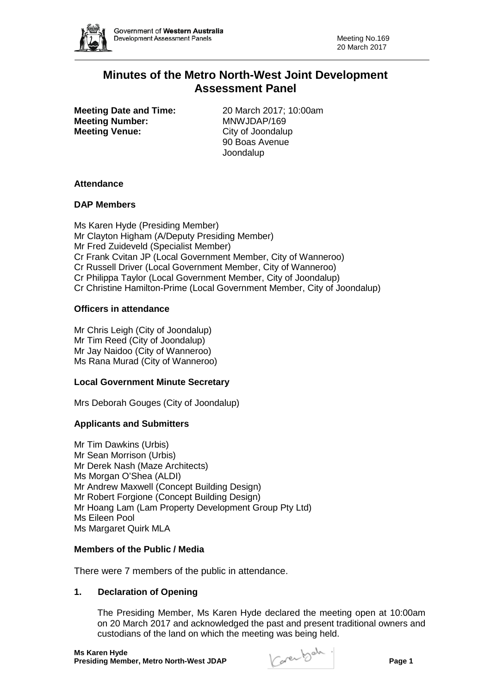

# **Minutes of the Metro North-West Joint Development Assessment Panel**

**Meeting Number:** MNWJDAP/169 **Meeting Venue:** City of Joondalup

**Meeting Date and Time:** 20 March 2017; 10:00am 90 Boas Avenue Joondalup

# **Attendance**

# **DAP Members**

Ms Karen Hyde (Presiding Member) Mr Clayton Higham (A/Deputy Presiding Member) Mr Fred Zuideveld (Specialist Member) Cr Frank Cvitan JP (Local Government Member, City of Wanneroo) Cr Russell Driver (Local Government Member, City of Wanneroo) Cr Philippa Taylor (Local Government Member, City of Joondalup) Cr Christine Hamilton-Prime (Local Government Member, City of Joondalup)

# **Officers in attendance**

Mr Chris Leigh (City of Joondalup) Mr Tim Reed (City of Joondalup) Mr Jay Naidoo (City of Wanneroo) Ms Rana Murad (City of Wanneroo)

# **Local Government Minute Secretary**

Mrs Deborah Gouges (City of Joondalup)

# **Applicants and Submitters**

Mr Tim Dawkins (Urbis) Mr Sean Morrison (Urbis) Mr Derek Nash (Maze Architects) Ms Morgan O'Shea (ALDI) Mr Andrew Maxwell (Concept Building Design) Mr Robert Forgione (Concept Building Design) Mr Hoang Lam (Lam Property Development Group Pty Ltd) Ms Eileen Pool Ms Margaret Quirk MLA

# **Members of the Public / Media**

There were 7 members of the public in attendance.

# **1. Declaration of Opening**

The Presiding Member, Ms Karen Hyde declared the meeting open at 10:00am on 20 March 2017 and acknowledged the past and present traditional owners and custodians of the land on which the meeting was being held.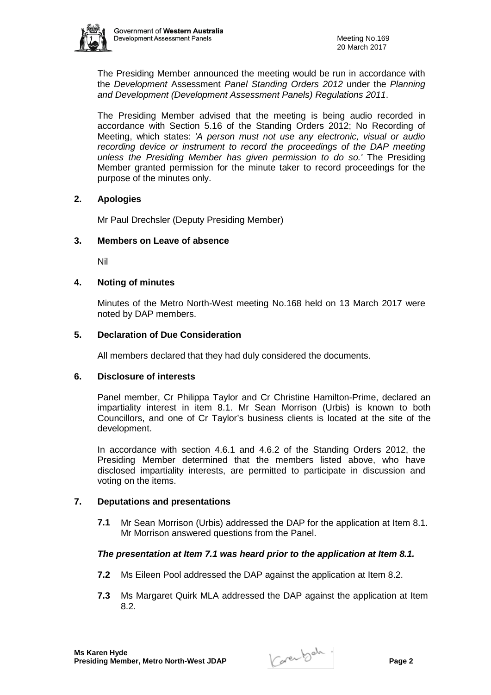The Presiding Member announced the meeting would be run in accordance with the *Development* Assessment *Panel Standing Orders 2012* under the *Planning and Development (Development Assessment Panels) Regulations 2011*.

The Presiding Member advised that the meeting is being audio recorded in accordance with Section 5.16 of the Standing Orders 2012; No Recording of Meeting, which states: *'A person must not use any electronic, visual or audio*  recording device or instrument to record the proceedings of the DAP meeting *unless the Presiding Member has given permission to do so.'* The Presiding Member granted permission for the minute taker to record proceedings for the purpose of the minutes only.

# **2. Apologies**

Mr Paul Drechsler (Deputy Presiding Member)

#### **3. Members on Leave of absence**

Nil

#### **4. Noting of minutes**

Minutes of the Metro North-West meeting No.168 held on 13 March 2017 were noted by DAP members.

#### **5. Declaration of Due Consideration**

All members declared that they had duly considered the documents.

#### **6. Disclosure of interests**

Panel member, Cr Philippa Taylor and Cr Christine Hamilton-Prime, declared an impartiality interest in item 8.1. Mr Sean Morrison (Urbis) is known to both Councillors, and one of Cr Taylor's business clients is located at the site of the development.

In accordance with section 4.6.1 and 4.6.2 of the Standing Orders 2012, the Presiding Member determined that the members listed above, who have disclosed impartiality interests, are permitted to participate in discussion and voting on the items.

# **7. Deputations and presentations**

**7.1** Mr Sean Morrison (Urbis) addressed the DAP for the application at Item 8.1. Mr Morrison answered questions from the Panel.

# *The presentation at Item 7.1 was heard prior to the application at Item 8.1.*

- **7.2** Ms Eileen Pool addressed the DAP against the application at Item 8.2.
- **7.3** Ms Margaret Quirk MLA addressed the DAP against the application at Item 8.2.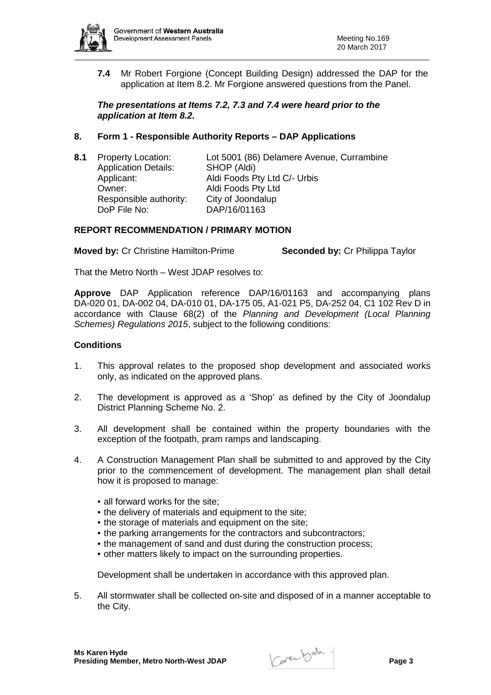

**7.4** Mr Robert Forgione (Concept Building Design) addressed the DAP for the application at Item 8.2. Mr Forgione answered questions from the Panel.

# *The presentations at Items 7.2, 7.3 and 7.4 were heard prior to the application at Item 8.2.*

# **8. Form 1 - Responsible Authority Reports – DAP Applications**

| 8.1 | <b>Property Location:</b><br><b>Application Details:</b> | Lot 5001 (86) Delamere Avenue, Currambine<br>SHOP (Aldi) |
|-----|----------------------------------------------------------|----------------------------------------------------------|
|     | Applicant:                                               | Aldi Foods Pty Ltd C/- Urbis                             |
|     | Owner:                                                   | Aldi Foods Pty Ltd                                       |
|     | Responsible authority:                                   | City of Joondalup                                        |
|     | DoP File No:                                             | DAP/16/01163                                             |
|     |                                                          |                                                          |

# **REPORT RECOMMENDATION / PRIMARY MOTION**

**Moved by:** Cr Christine Hamilton-Prime **Seconded by:** Cr Philippa Taylor

That the Metro North – West JDAP resolves to:

**Approve** DAP Application reference DAP/16/01163 and accompanying plans DA-020 01, DA-002 04, DA-010 01, DA-175 05, A1-021 P5, DA-252 04, C1 102 Rev D in accordance with Clause 68(2) of the *Planning and Development (Local Planning Schemes) Regulations 2015*, subject to the following conditions:

# **Conditions**

- 1. This approval relates to the proposed shop development and associated works only, as indicated on the approved plans.
- 2. The development is approved as a 'Shop' as defined by the City of Joondalup District Planning Scheme No. 2.
- 3. All development shall be contained within the property boundaries with the exception of the footpath, pram ramps and landscaping.
- 4. A Construction Management Plan shall be submitted to and approved by the City prior to the commencement of development. The management plan shall detail how it is proposed to manage:
	- all forward works for the site:
	- the delivery of materials and equipment to the site;
	- the storage of materials and equipment on the site;
	- the parking arrangements for the contractors and subcontractors;
	- the management of sand and dust during the construction process;
	- other matters likely to impact on the surrounding properties.

Development shall be undertaken in accordance with this approved plan.

5. All stormwater shall be collected on-site and disposed of in a manner acceptable to the City.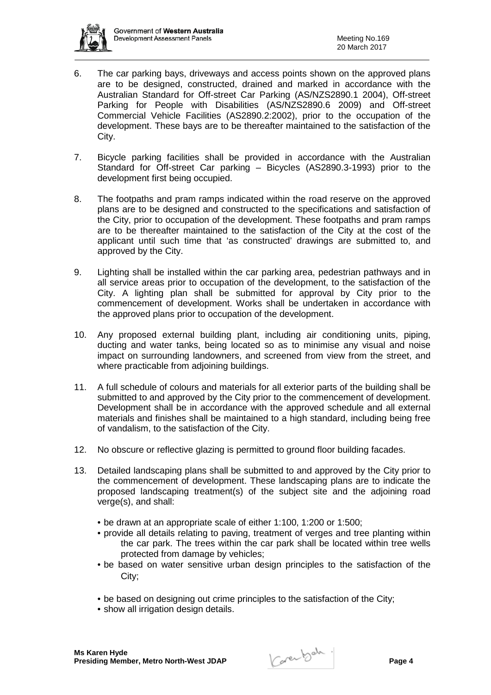

- 6. The car parking bays, driveways and access points shown on the approved plans are to be designed, constructed, drained and marked in accordance with the Australian Standard for Off-street Car Parking (AS/NZS2890.1 2004), Off-street Parking for People with Disabilities (AS/NZS2890.6 2009) and Off-street Commercial Vehicle Facilities (AS2890.2:2002), prior to the occupation of the development. These bays are to be thereafter maintained to the satisfaction of the City.
- 7. Bicycle parking facilities shall be provided in accordance with the Australian Standard for Off-street Car parking – Bicycles (AS2890.3-1993) prior to the development first being occupied.
- 8. The footpaths and pram ramps indicated within the road reserve on the approved plans are to be designed and constructed to the specifications and satisfaction of the City, prior to occupation of the development. These footpaths and pram ramps are to be thereafter maintained to the satisfaction of the City at the cost of the applicant until such time that 'as constructed' drawings are submitted to, and approved by the City.
- 9. Lighting shall be installed within the car parking area, pedestrian pathways and in all service areas prior to occupation of the development, to the satisfaction of the City. A lighting plan shall be submitted for approval by City prior to the commencement of development. Works shall be undertaken in accordance with the approved plans prior to occupation of the development.
- 10. Any proposed external building plant, including air conditioning units, piping, ducting and water tanks, being located so as to minimise any visual and noise impact on surrounding landowners, and screened from view from the street, and where practicable from adjoining buildings.
- 11. A full schedule of colours and materials for all exterior parts of the building shall be submitted to and approved by the City prior to the commencement of development. Development shall be in accordance with the approved schedule and all external materials and finishes shall be maintained to a high standard, including being free of vandalism, to the satisfaction of the City.
- 12. No obscure or reflective glazing is permitted to ground floor building facades.
- 13. Detailed landscaping plans shall be submitted to and approved by the City prior to the commencement of development. These landscaping plans are to indicate the proposed landscaping treatment(s) of the subject site and the adjoining road verge(s), and shall:
	- be drawn at an appropriate scale of either 1:100, 1:200 or 1:500;
	- provide all details relating to paving, treatment of verges and tree planting within the car park. The trees within the car park shall be located within tree wells protected from damage by vehicles;
	- be based on water sensitive urban design principles to the satisfaction of the City;
	- be based on designing out crime principles to the satisfaction of the City;
	- show all irrigation design details.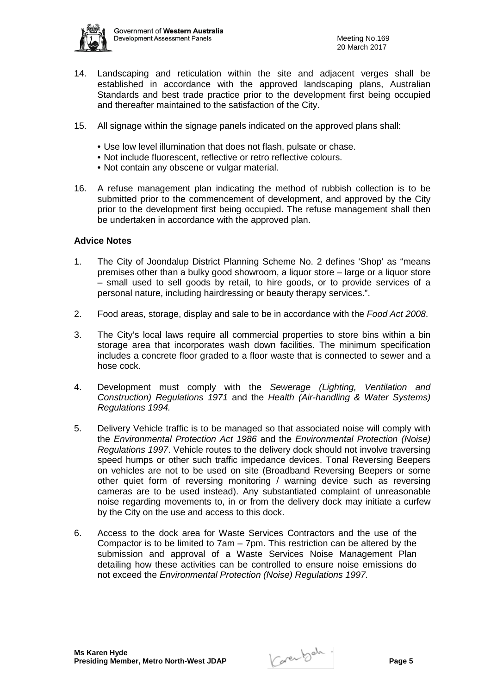

- 14. Landscaping and reticulation within the site and adjacent verges shall be established in accordance with the approved landscaping plans, Australian Standards and best trade practice prior to the development first being occupied and thereafter maintained to the satisfaction of the City.
- 15. All signage within the signage panels indicated on the approved plans shall:
	- Use low level illumination that does not flash, pulsate or chase.
	- Not include fluorescent, reflective or retro reflective colours.
	- Not contain any obscene or vulgar material.
- 16. A refuse management plan indicating the method of rubbish collection is to be submitted prior to the commencement of development, and approved by the City prior to the development first being occupied. The refuse management shall then be undertaken in accordance with the approved plan.

#### **Advice Notes**

- 1. The City of Joondalup District Planning Scheme No. 2 defines 'Shop' as "means premises other than a bulky good showroom, a liquor store – large or a liquor store – small used to sell goods by retail, to hire goods, or to provide services of a personal nature, including hairdressing or beauty therapy services.".
- 2. Food areas, storage, display and sale to be in accordance with the *Food Act 2008*.
- 3. The City's local laws require all commercial properties to store bins within a bin storage area that incorporates wash down facilities. The minimum specification includes a concrete floor graded to a floor waste that is connected to sewer and a hose cock.
- 4. Development must comply with the *Sewerage (Lighting, Ventilation and Construction) Regulations 1971* and the *Health (Air-handling & Water Systems) Regulations 1994.*
- 5. Delivery Vehicle traffic is to be managed so that associated noise will comply with the *Environmental Protection Act 1986* and the *Environmental Protection (Noise) Regulations 1997*. Vehicle routes to the delivery dock should not involve traversing speed humps or other such traffic impedance devices. Tonal Reversing Beepers on vehicles are not to be used on site (Broadband Reversing Beepers or some other quiet form of reversing monitoring / warning device such as reversing cameras are to be used instead). Any substantiated complaint of unreasonable noise regarding movements to, in or from the delivery dock may initiate a curfew by the City on the use and access to this dock.
- 6. Access to the dock area for Waste Services Contractors and the use of the Compactor is to be limited to 7am – 7pm. This restriction can be altered by the submission and approval of a Waste Services Noise Management Plan detailing how these activities can be controlled to ensure noise emissions do not exceed the *Environmental Protection (Noise) Regulations 1997.*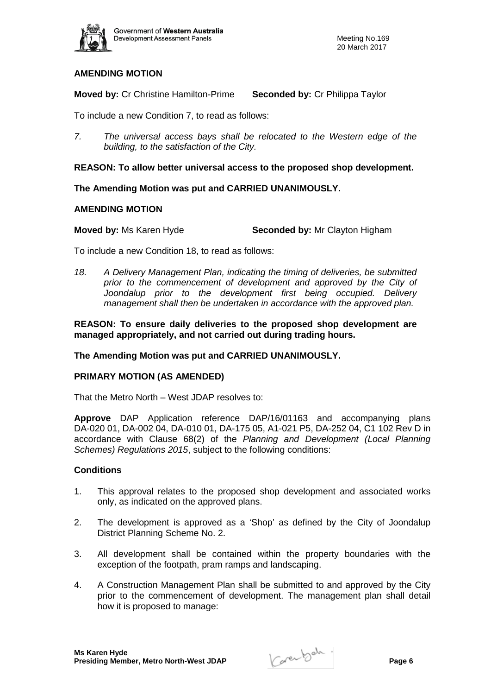

# **AMENDING MOTION**

**Moved by:** Cr Christine Hamilton-Prime **Seconded by:** Cr Philippa Taylor

To include a new Condition 7, to read as follows:

*7. The universal access bays shall be relocated to the Western edge of the building, to the satisfaction of the City.* 

**REASON: To allow better universal access to the proposed shop development.**

**The Amending Motion was put and CARRIED UNANIMOUSLY.**

#### **AMENDING MOTION**

**Moved by:** Ms Karen Hyde **Seconded by:** Mr Clayton Higham

To include a new Condition 18, to read as follows:

*18. A Delivery Management Plan, indicating the timing of deliveries, be submitted prior to the commencement of development and approved by the City of*  Joondalup prior to the development first being occupied. Delivery *management shall then be undertaken in accordance with the approved plan.* 

**REASON: To ensure daily deliveries to the proposed shop development are managed appropriately, and not carried out during trading hours.** 

**The Amending Motion was put and CARRIED UNANIMOUSLY.**

# **PRIMARY MOTION (AS AMENDED)**

That the Metro North – West JDAP resolves to:

**Approve** DAP Application reference DAP/16/01163 and accompanying plans DA-020 01, DA-002 04, DA-010 01, DA-175 05, A1-021 P5, DA-252 04, C1 102 Rev D in accordance with Clause 68(2) of the *Planning and Development (Local Planning Schemes) Regulations 2015*, subject to the following conditions:

#### **Conditions**

- 1. This approval relates to the proposed shop development and associated works only, as indicated on the approved plans.
- 2. The development is approved as a 'Shop' as defined by the City of Joondalup District Planning Scheme No. 2.
- 3. All development shall be contained within the property boundaries with the exception of the footpath, pram ramps and landscaping.
- 4. A Construction Management Plan shall be submitted to and approved by the City prior to the commencement of development. The management plan shall detail how it is proposed to manage: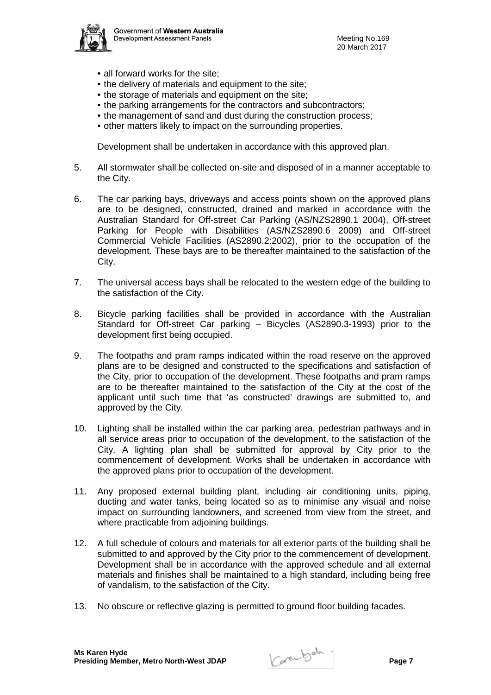

- all forward works for the site;
- the delivery of materials and equipment to the site;
- the storage of materials and equipment on the site;
- the parking arrangements for the contractors and subcontractors;
- the management of sand and dust during the construction process;
- other matters likely to impact on the surrounding properties.

Development shall be undertaken in accordance with this approved plan.

- 5. All stormwater shall be collected on-site and disposed of in a manner acceptable to the City.
- 6. The car parking bays, driveways and access points shown on the approved plans are to be designed, constructed, drained and marked in accordance with the Australian Standard for Off-street Car Parking (AS/NZS2890.1 2004), Off-street Parking for People with Disabilities (AS/NZS2890.6 2009) and Off-street Commercial Vehicle Facilities (AS2890.2:2002), prior to the occupation of the development. These bays are to be thereafter maintained to the satisfaction of the City.
- 7. The universal access bays shall be relocated to the western edge of the building to the satisfaction of the City.
- 8. Bicycle parking facilities shall be provided in accordance with the Australian Standard for Off-street Car parking – Bicycles (AS2890.3-1993) prior to the development first being occupied.
- 9. The footpaths and pram ramps indicated within the road reserve on the approved plans are to be designed and constructed to the specifications and satisfaction of the City, prior to occupation of the development. These footpaths and pram ramps are to be thereafter maintained to the satisfaction of the City at the cost of the applicant until such time that 'as constructed' drawings are submitted to, and approved by the City.
- 10. Lighting shall be installed within the car parking area, pedestrian pathways and in all service areas prior to occupation of the development, to the satisfaction of the City. A lighting plan shall be submitted for approval by City prior to the commencement of development. Works shall be undertaken in accordance with the approved plans prior to occupation of the development.
- 11. Any proposed external building plant, including air conditioning units, piping, ducting and water tanks, being located so as to minimise any visual and noise impact on surrounding landowners, and screened from view from the street, and where practicable from adjoining buildings.
- 12. A full schedule of colours and materials for all exterior parts of the building shall be submitted to and approved by the City prior to the commencement of development. Development shall be in accordance with the approved schedule and all external materials and finishes shall be maintained to a high standard, including being free of vandalism, to the satisfaction of the City.
- 13. No obscure or reflective glazing is permitted to ground floor building facades.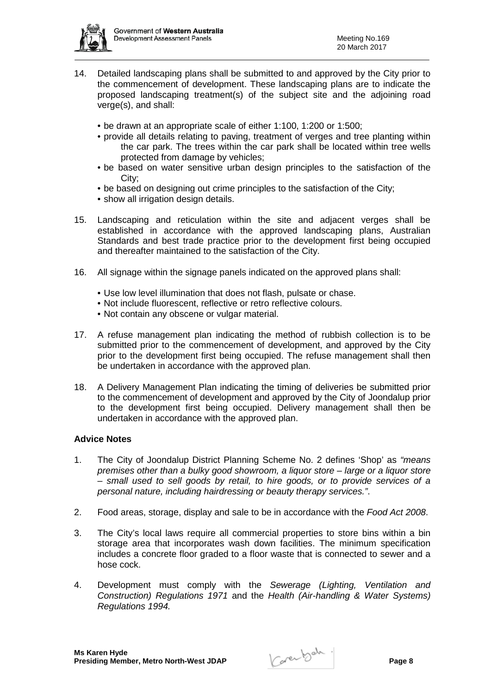

- 14. Detailed landscaping plans shall be submitted to and approved by the City prior to the commencement of development. These landscaping plans are to indicate the proposed landscaping treatment(s) of the subject site and the adjoining road verge(s), and shall:
	- be drawn at an appropriate scale of either 1:100, 1:200 or 1:500;
	- provide all details relating to paving, treatment of verges and tree planting within the car park. The trees within the car park shall be located within tree wells protected from damage by vehicles;
	- be based on water sensitive urban design principles to the satisfaction of the City;
	- be based on designing out crime principles to the satisfaction of the City;
	- show all irrigation design details.
- 15. Landscaping and reticulation within the site and adjacent verges shall be established in accordance with the approved landscaping plans, Australian Standards and best trade practice prior to the development first being occupied and thereafter maintained to the satisfaction of the City.
- 16. All signage within the signage panels indicated on the approved plans shall:
	- Use low level illumination that does not flash, pulsate or chase.
	- Not include fluorescent, reflective or retro reflective colours.
	- Not contain any obscene or vulgar material.
- 17. A refuse management plan indicating the method of rubbish collection is to be submitted prior to the commencement of development, and approved by the City prior to the development first being occupied. The refuse management shall then be undertaken in accordance with the approved plan.
- 18. A Delivery Management Plan indicating the timing of deliveries be submitted prior to the commencement of development and approved by the City of Joondalup prior to the development first being occupied. Delivery management shall then be undertaken in accordance with the approved plan.

# **Advice Notes**

- 1. The City of Joondalup District Planning Scheme No. 2 defines 'Shop' as *"means premises other than a bulky good showroom, a liquor store – large or a liquor store – small used to sell goods by retail, to hire goods, or to provide services of a personal nature, including hairdressing or beauty therapy services."*.
- 2. Food areas, storage, display and sale to be in accordance with the *Food Act 2008*.
- 3. The City's local laws require all commercial properties to store bins within a bin storage area that incorporates wash down facilities. The minimum specification includes a concrete floor graded to a floor waste that is connected to sewer and a hose cock.
- 4. Development must comply with the *Sewerage (Lighting, Ventilation and Construction) Regulations 1971* and the *Health (Air-handling & Water Systems) Regulations 1994.*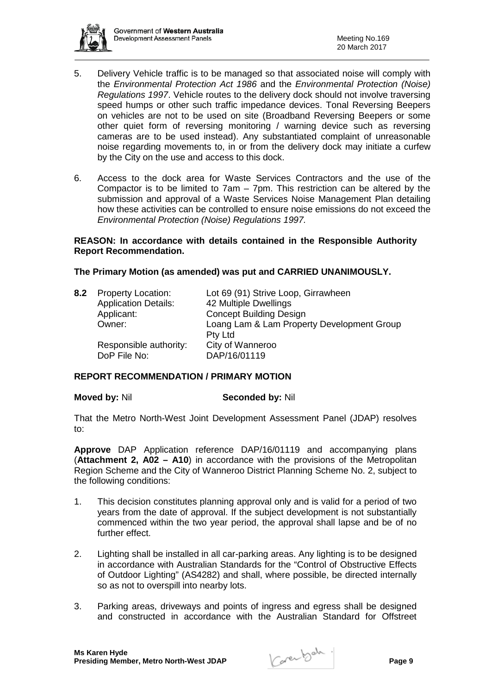

- 5. Delivery Vehicle traffic is to be managed so that associated noise will comply with the *Environmental Protection Act 1986* and the *Environmental Protection (Noise) Regulations 1997*. Vehicle routes to the delivery dock should not involve traversing speed humps or other such traffic impedance devices. Tonal Reversing Beepers on vehicles are not to be used on site (Broadband Reversing Beepers or some other quiet form of reversing monitoring / warning device such as reversing cameras are to be used instead). Any substantiated complaint of unreasonable noise regarding movements to, in or from the delivery dock may initiate a curfew by the City on the use and access to this dock.
- 6. Access to the dock area for Waste Services Contractors and the use of the Compactor is to be limited to 7am – 7pm. This restriction can be altered by the submission and approval of a Waste Services Noise Management Plan detailing how these activities can be controlled to ensure noise emissions do not exceed the *Environmental Protection (Noise) Regulations 1997.*

#### **REASON: In accordance with details contained in the Responsible Authority Report Recommendation.**

# **The Primary Motion (as amended) was put and CARRIED UNANIMOUSLY.**

|  | 8.2 Property Location:      | Lot 69 (91) Strive Loop, Girrawheen        |
|--|-----------------------------|--------------------------------------------|
|  | <b>Application Details:</b> | 42 Multiple Dwellings                      |
|  | Applicant:                  | <b>Concept Building Design</b>             |
|  | Owner:                      | Loang Lam & Lam Property Development Group |
|  |                             | <b>Pty Ltd</b>                             |
|  | Responsible authority:      | City of Wanneroo                           |
|  | DoP File No:                | DAP/16/01119                               |
|  |                             |                                            |

#### **REPORT RECOMMENDATION / PRIMARY MOTION**

#### **Moved by:** Nil **Seconded by:** Nil

That the Metro North-West Joint Development Assessment Panel (JDAP) resolves to:

**Approve** DAP Application reference DAP/16/01119 and accompanying plans (**Attachment 2, A02 – A10**) in accordance with the provisions of the Metropolitan Region Scheme and the City of Wanneroo District Planning Scheme No. 2, subject to the following conditions:

- 1. This decision constitutes planning approval only and is valid for a period of two years from the date of approval. If the subject development is not substantially commenced within the two year period, the approval shall lapse and be of no further effect.
- 2. Lighting shall be installed in all car-parking areas. Any lighting is to be designed in accordance with Australian Standards for the "Control of Obstructive Effects of Outdoor Lighting" (AS4282) and shall, where possible, be directed internally so as not to overspill into nearby lots.
- 3. Parking areas, driveways and points of ingress and egress shall be designed and constructed in accordance with the Australian Standard for Offstreet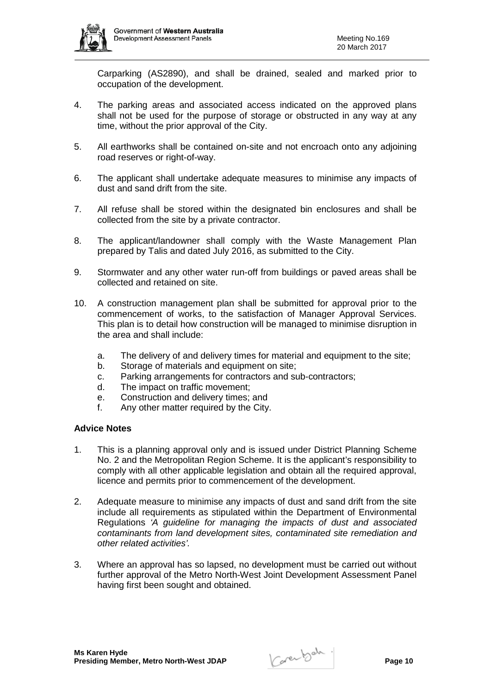

Carparking (AS2890), and shall be drained, sealed and marked prior to occupation of the development.

- 4. The parking areas and associated access indicated on the approved plans shall not be used for the purpose of storage or obstructed in any way at any time, without the prior approval of the City.
- 5. All earthworks shall be contained on-site and not encroach onto any adjoining road reserves or right-of-way.
- 6. The applicant shall undertake adequate measures to minimise any impacts of dust and sand drift from the site.
- 7. All refuse shall be stored within the designated bin enclosures and shall be collected from the site by a private contractor.
- 8. The applicant/landowner shall comply with the Waste Management Plan prepared by Talis and dated July 2016, as submitted to the City.
- 9. Stormwater and any other water run-off from buildings or paved areas shall be collected and retained on site.
- 10. A construction management plan shall be submitted for approval prior to the commencement of works, to the satisfaction of Manager Approval Services. This plan is to detail how construction will be managed to minimise disruption in the area and shall include:
	- a. The delivery of and delivery times for material and equipment to the site;
	- b. Storage of materials and equipment on site;
	- c. Parking arrangements for contractors and sub-contractors;
	- d. The impact on traffic movement;
	- e. Construction and delivery times; and
	- f. Any other matter required by the City.

#### **Advice Notes**

- 1. This is a planning approval only and is issued under District Planning Scheme No. 2 and the Metropolitan Region Scheme. It is the applicant's responsibility to comply with all other applicable legislation and obtain all the required approval, licence and permits prior to commencement of the development.
- 2. Adequate measure to minimise any impacts of dust and sand drift from the site include all requirements as stipulated within the Department of Environmental Regulations *'A guideline for managing the impacts of dust and associated contaminants from land development sites, contaminated site remediation and other related activities'.*
- 3. Where an approval has so lapsed, no development must be carried out without further approval of the Metro North-West Joint Development Assessment Panel having first been sought and obtained.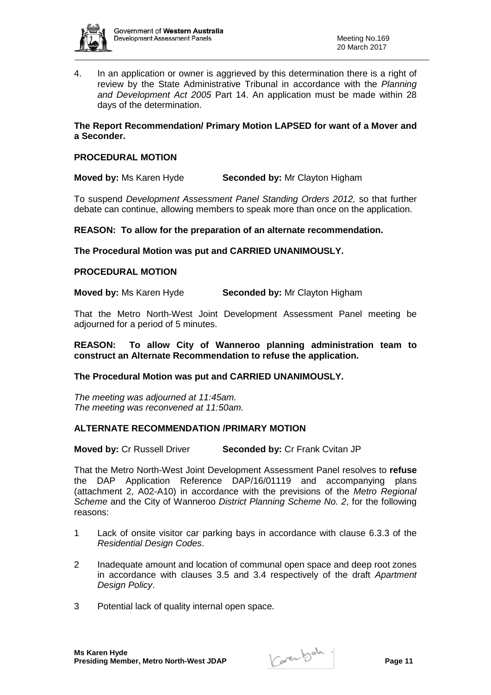

4. In an application or owner is aggrieved by this determination there is a right of review by the State Administrative Tribunal in accordance with the *Planning and Development Act 2005* Part 14. An application must be made within 28 days of the determination.

# **The Report Recommendation/ Primary Motion LAPSED for want of a Mover and a Seconder.**

# **PROCEDURAL MOTION**

**Moved by:** Ms Karen Hyde **Seconded by:** Mr Clayton Higham

To suspend *Development Assessment Panel Standing Orders 2012,* so that further debate can continue, allowing members to speak more than once on the application.

**REASON: To allow for the preparation of an alternate recommendation.**

**The Procedural Motion was put and CARRIED UNANIMOUSLY.**

#### **PROCEDURAL MOTION**

**Moved by:** Ms Karen Hyde **Seconded by:** Mr Clayton Higham

That the Metro North-West Joint Development Assessment Panel meeting be adjourned for a period of 5 minutes.

**REASON: To allow City of Wanneroo planning administration team to construct an Alternate Recommendation to refuse the application.** 

#### **The Procedural Motion was put and CARRIED UNANIMOUSLY.**

*The meeting was adjourned at 11:45am. The meeting was reconvened at 11:50am.* 

# **ALTERNATE RECOMMENDATION /PRIMARY MOTION**

**Moved by:** Cr Russell Driver **Seconded by:** Cr Frank Cvitan JP

That the Metro North-West Joint Development Assessment Panel resolves to **refuse** the DAP Application Reference DAP/16/01119 and accompanying plans (attachment 2, A02-A10) in accordance with the previsions of the *Metro Regional Scheme* and the City of Wanneroo *District Planning Scheme No. 2*, for the following reasons:

- 1 Lack of onsite visitor car parking bays in accordance with clause 6.3.3 of the *Residential Design Codes*.
- 2 Inadequate amount and location of communal open space and deep root zones in accordance with clauses 3.5 and 3.4 respectively of the draft *Apartment Design Policy*.
- 3 Potential lack of quality internal open space.